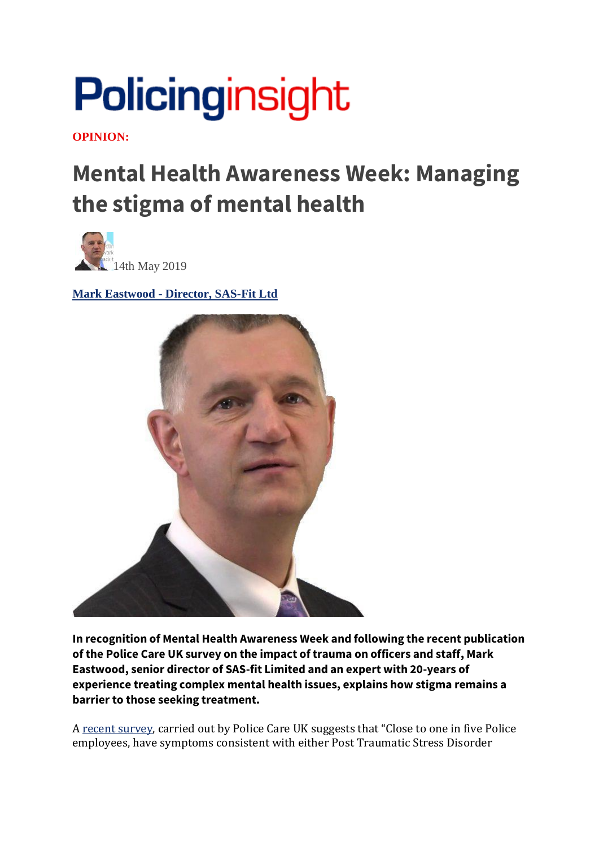## Policinginsight

**OPINION:**

## **Mental Health Awareness Week: Managing the stigma of mental health**



**Mark Eastwood - [Director, SAS-Fit Ltd](https://policinginsight.com/author/mark-eastwood/)**



**In recognition of Mental Health Awareness Week and following the recent publication of the Police Care UK survey on the impact of trauma on officers and staff, Mark Eastwood, senior director of SAS-fit Limited and an expert with 20-years of experience treating complex mental health issues, explains how stigma remains a barrier to those seeking treatment.**

A [recent survey,](https://www.cam.ac.uk/sites/www.cam.ac.uk/files/inner-images/thejobthelife_findings.pdf) carried out by Police Care UK suggests that "Close to one in five Police employees, have symptoms consistent with either Post Traumatic Stress Disorder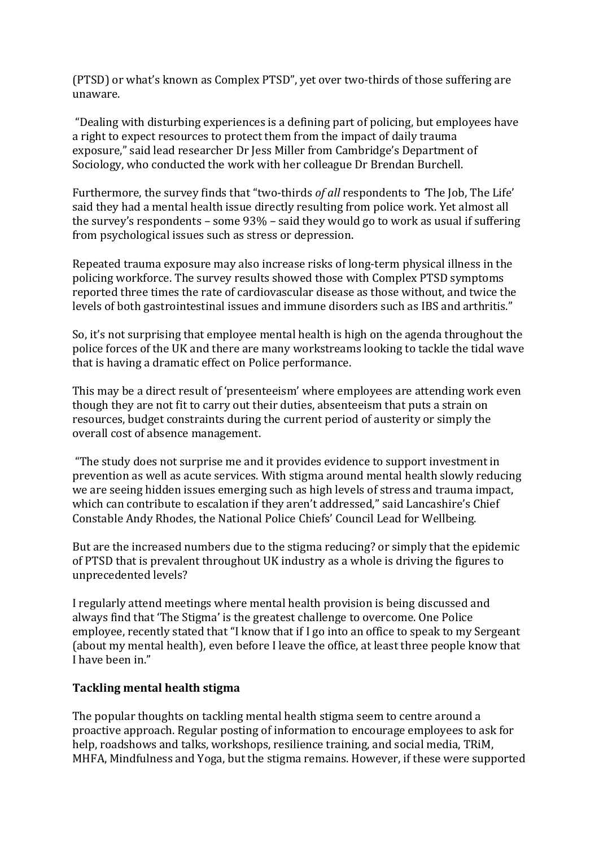(PTSD) or what's known as Complex PTSD", yet over two-thirds of those suffering are unaware.

"Dealing with disturbing experiences is a defining part of policing, but employees have a right to expect resources to protect them from the impact of daily trauma exposure," said lead researcher Dr Jess Miller from Cambridge's Department of Sociology, who conducted the work with her colleague Dr Brendan Burchell.

Furthermore, the survey finds that "two-thirds *of all* respondents to *'*The Job, The Life' said they had a mental health issue directly resulting from police work. Yet almost all the survey's respondents – some 93% – said they would go to work as usual if suffering from psychological issues such as stress or depression.

Repeated trauma exposure may also increase risks of long-term physical illness in the policing workforce. The survey results showed those with Complex PTSD symptoms reported three times the rate of cardiovascular disease as those without, and twice the levels of both gastrointestinal issues and immune disorders such as IBS and arthritis."

So, it's not surprising that employee mental health is high on the agenda throughout the police forces of the UK and there are many workstreams looking to tackle the tidal wave that is having a dramatic effect on Police performance.

This may be a direct result of 'presenteeism' where employees are attending work even though they are not fit to carry out their duties, absenteeism that puts a strain on resources, budget constraints during the current period of austerity or simply the overall cost of absence management.

"The study does not surprise me and it provides evidence to support investment in prevention as well as acute services. With stigma around mental health slowly reducing we are seeing hidden issues emerging such as high levels of stress and trauma impact, which can contribute to escalation if they aren't addressed," said Lancashire's Chief Constable Andy Rhodes, the National Police Chiefs' Council Lead for Wellbeing.

But are the increased numbers due to the stigma reducing? or simply that the epidemic of PTSD that is prevalent throughout UK industry as a whole is driving the figures to unprecedented levels?

I regularly attend meetings where mental health provision is being discussed and always find that 'The Stigma' is the greatest challenge to overcome. One Police employee, recently stated that "I know that if I go into an office to speak to my Sergeant (about my mental health), even before I leave the office, at least three people know that I have been in."

## **Tackling mental health stigma**

The popular thoughts on tackling mental health stigma seem to centre around a proactive approach. Regular posting of information to encourage employees to ask for help, roadshows and talks, workshops, resilience training, and social media, TRiM, MHFA, Mindfulness and Yoga, but the stigma remains. However, if these were supported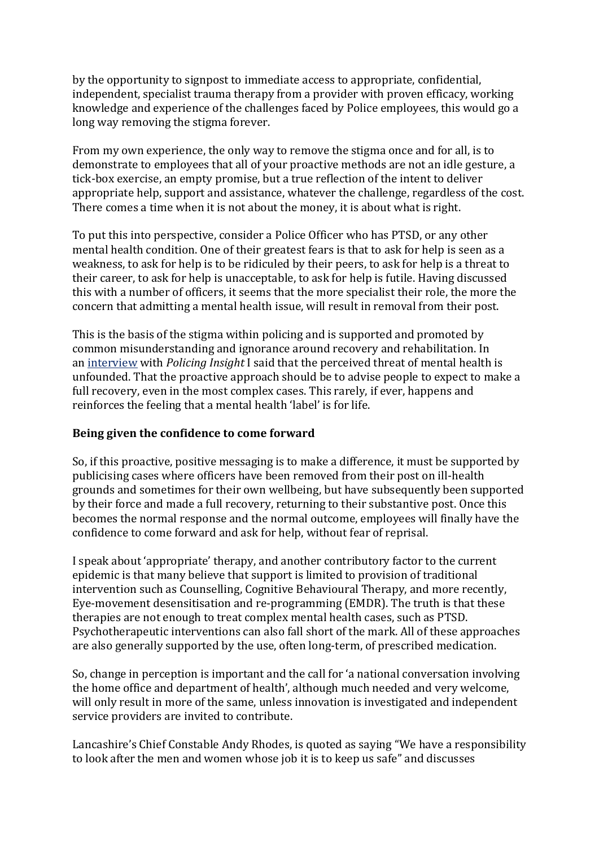by the opportunity to signpost to immediate access to appropriate, confidential, independent, specialist trauma therapy from a provider with proven efficacy, working knowledge and experience of the challenges faced by Police employees, this would go a long way removing the stigma forever.

From my own experience, the only way to remove the stigma once and for all, is to demonstrate to employees that all of your proactive methods are not an idle gesture, a tick-box exercise, an empty promise, but a true reflection of the intent to deliver appropriate help, support and assistance, whatever the challenge, regardless of the cost. There comes a time when it is not about the money, it is about what is right.

To put this into perspective, consider a Police Officer who has PTSD, or any other mental health condition. One of their greatest fears is that to ask for help is seen as a weakness, to ask for help is to be ridiculed by their peers, to ask for help is a threat to their career, to ask for help is unacceptable, to ask for help is futile. Having discussed this with a number of officers, it seems that the more specialist their role, the more the concern that admitting a mental health issue, will result in removal from their post.

This is the basis of the stigma within policing and is supported and promoted by common misunderstanding and ignorance around recovery and rehabilitation. In an [interview](https://policinginsight.com/opinion/light-at-the-end-of-the-tunnel-post-traumatic-stress-disorder-can-be-successfully-treated/) with *Policing Insight* I said that the perceived threat of mental health is unfounded. That the proactive approach should be to advise people to expect to make a full recovery, even in the most complex cases. This rarely, if ever, happens and reinforces the feeling that a mental health 'label' is for life.

## **Being given the confidence to come forward**

So, if this proactive, positive messaging is to make a difference, it must be supported by publicising cases where officers have been removed from their post on ill-health grounds and sometimes for their own wellbeing, but have subsequently been supported by their force and made a full recovery, returning to their substantive post. Once this becomes the normal response and the normal outcome, employees will finally have the confidence to come forward and ask for help, without fear of reprisal.

I speak about 'appropriate' therapy, and another contributory factor to the current epidemic is that many believe that support is limited to provision of traditional intervention such as Counselling, Cognitive Behavioural Therapy, and more recently, Eye-movement desensitisation and re-programming (EMDR). The truth is that these therapies are not enough to treat complex mental health cases, such as PTSD. Psychotherapeutic interventions can also fall short of the mark. All of these approaches are also generally supported by the use, often long-term, of prescribed medication.

So, change in perception is important and the call for 'a national conversation involving the home office and department of health', although much needed and very welcome, will only result in more of the same, unless innovation is investigated and independent service providers are invited to contribute.

Lancashire's Chief Constable Andy Rhodes, is quoted as saying "We have a responsibility to look after the men and women whose job it is to keep us safe" and discusses